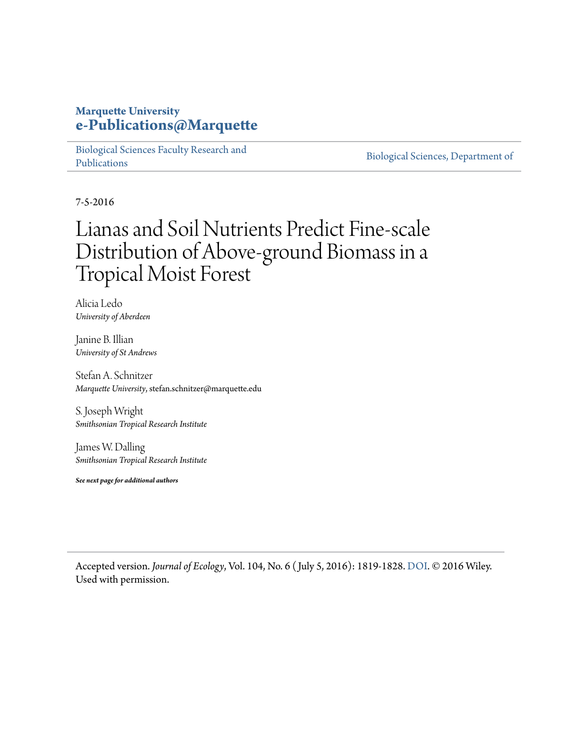## **Marquette University [e-Publications@Marquette](https://epublications.marquette.edu/)**

[Biological Sciences Faculty Research and](https://epublications.marquette.edu/bio_fac) [Publications](https://epublications.marquette.edu/bio_fac)

[Biological Sciences, Department of](https://epublications.marquette.edu/biology)

7-5-2016

## Lianas and Soil Nutrients Predict Fine‐scale Distribution of Above‐ground Biomass in a Tropical Moist Forest

Alicia Ledo *University of Aberdeen*

Janine B. Illian *University of St Andrews*

Stefan A. Schnitzer *Marquette University*, stefan.schnitzer@marquette.edu

S. Joseph Wright *Smithsonian Tropical Research Institute*

James W. Dalling *Smithsonian Tropical Research Institute*

*See next page for additional authors*

Accepted version. *Journal of Ecology*, Vol. 104, No. 6 ( July 5, 2016): 1819-1828. DOI. © 2016 Wiley. Used with permission.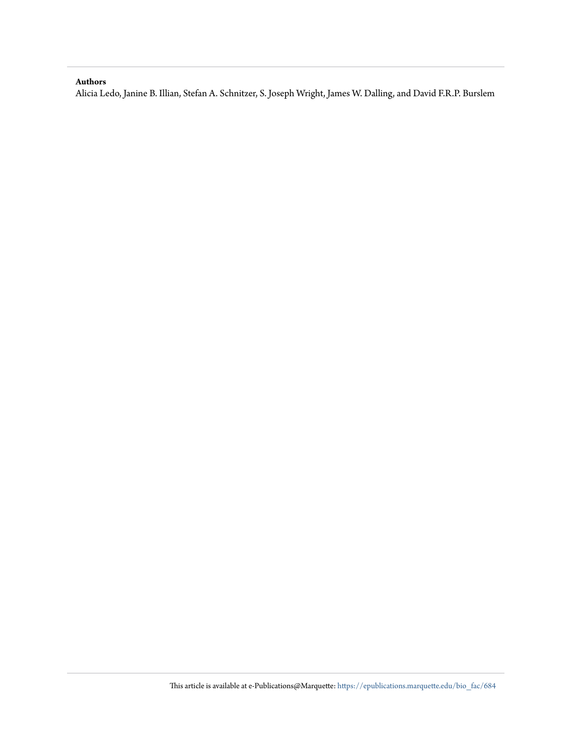#### **Authors**

Alicia Ledo, Janine B. Illian, Stefan A. Schnitzer, S. Joseph Wright, James W. Dalling, and David F.R.P. Burslem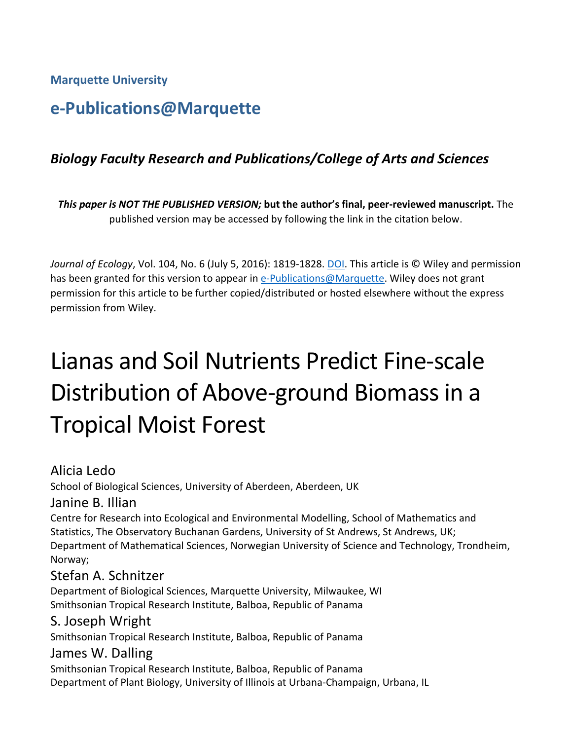**Marquette University**

## **e-Publications@Marquette**

## *Biology Faculty Research and Publications/College of Arts and Sciences*

*This paper is NOT THE PUBLISHED VERSION;* **but the author's final, peer-reviewed manuscript.** The published version may be accessed by following the link in the citation below.

*Journal of Ecology*, Vol. 104, No. 6 (July 5, 2016): 1819-1828. DOI. This article is © Wiley and permission has been granted for this version to appear in [e-Publications@Marquette.](http://epublications.marquette.edu/) Wiley does not grant permission for this article to be further copied/distributed or hosted elsewhere without the express permission from Wiley.

# Lianas and Soil Nutrients Predict Fine-scale Distribution of Above-ground Biomass in a Tropical Moist Forest

## Alicia Ledo

School of Biological Sciences, University of Aberdeen, Aberdeen, UK

#### Janine B. Illian

Centre for Research into Ecological and Environmental Modelling, School of Mathematics and Statistics, The Observatory Buchanan Gardens, University of St Andrews, St Andrews, UK; Department of Mathematical Sciences, Norwegian University of Science and Technology, Trondheim, Norway;

## Stefan A. Schnitzer

Department of Biological Sciences, Marquette University, Milwaukee, WI Smithsonian Tropical Research Institute, Balboa, Republic of Panama

## S. Joseph Wright

Smithsonian Tropical Research Institute, Balboa, Republic of Panama

## James W. Dalling

Smithsonian Tropical Research Institute, Balboa, Republic of Panama Department of Plant Biology, University of Illinois at Urbana-Champaign, Urbana, IL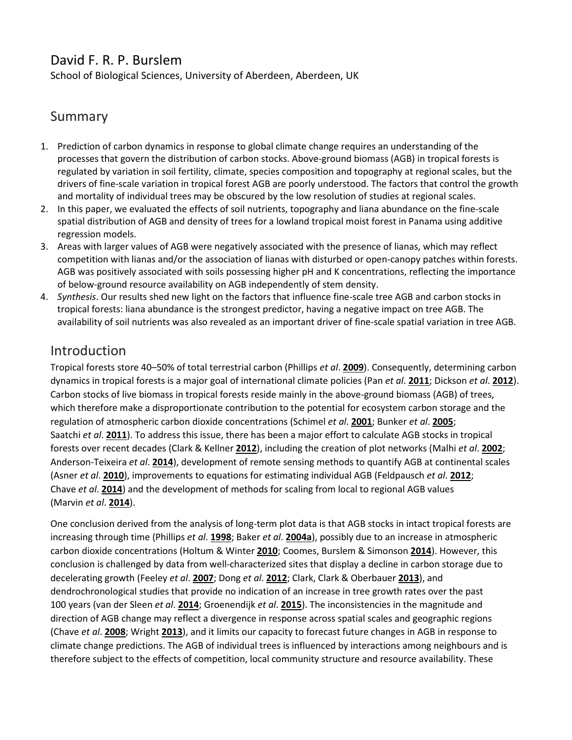## David F. R. P. Burslem

School of Biological Sciences, University of Aberdeen, Aberdeen, UK

## Summary

- 1. Prediction of carbon dynamics in response to global climate change requires an understanding of the processes that govern the distribution of carbon stocks. Above-ground biomass (AGB) in tropical forests is regulated by variation in soil fertility, climate, species composition and topography at regional scales, but the drivers of fine-scale variation in tropical forest AGB are poorly understood. The factors that control the growth and mortality of individual trees may be obscured by the low resolution of studies at regional scales.
- 2. In this paper, we evaluated the effects of soil nutrients, topography and liana abundance on the fine-scale spatial distribution of AGB and density of trees for a lowland tropical moist forest in Panama using additive regression models.
- 3. Areas with larger values of AGB were negatively associated with the presence of lianas, which may reflect competition with lianas and/or the association of lianas with disturbed or open-canopy patches within forests. AGB was positively associated with soils possessing higher pH and K concentrations, reflecting the importance of below-ground resource availability on AGB independently of stem density.
- 4. *Synthesis*. Our results shed new light on the factors that influence fine-scale tree AGB and carbon stocks in tropical forests: liana abundance is the strongest predictor, having a negative impact on tree AGB. The availability of soil nutrients was also revealed as an important driver of fine-scale spatial variation in tree AGB.

## Introduction

Tropical forests store 40–50% of total terrestrial carbon (Phillips *et al*. **[2009](https://besjournals.onlinelibrary.wiley.com/doi/10.1111/1365-2745.12635#jec12635-bib-0059)**). Consequently, determining carbon dynamics in tropical forests is a major goal of international climate policies (Pan *et al*. **[2011](https://besjournals.onlinelibrary.wiley.com/doi/10.1111/1365-2745.12635#jec12635-bib-0054)**; Dickson *et al*. **[2012](https://besjournals.onlinelibrary.wiley.com/doi/10.1111/1365-2745.12635#jec12635-bib-0027)**). Carbon stocks of live biomass in tropical forests reside mainly in the above-ground biomass (AGB) of trees, which therefore make a disproportionate contribution to the potential for ecosystem carbon storage and the regulation of atmospheric carbon dioxide concentrations (Schimel *et al*. **[2001](https://besjournals.onlinelibrary.wiley.com/doi/10.1111/1365-2745.12635#jec12635-bib-0070)**; Bunker *et al*. **[2005](https://besjournals.onlinelibrary.wiley.com/doi/10.1111/1365-2745.12635#jec12635-bib-0009)**; Saatchi *et al*. **[2011](https://besjournals.onlinelibrary.wiley.com/doi/10.1111/1365-2745.12635#jec12635-bib-0068)**). To address this issue, there has been a major effort to calculate AGB stocks in tropical forests over recent decades (Clark & Kellner **[2012](https://besjournals.onlinelibrary.wiley.com/doi/10.1111/1365-2745.12635#jec12635-bib-0018)**), including the creation of plot networks (Malhi *et al*. **[2002](https://besjournals.onlinelibrary.wiley.com/doi/10.1111/1365-2745.12635#jec12635-bib-0050)**; Anderson-Teixeira *et al*. **[2014](https://besjournals.onlinelibrary.wiley.com/doi/10.1111/1365-2745.12635#jec12635-bib-0001)**), development of remote sensing methods to quantify AGB at continental scales (Asner *et al*. **[2010](https://besjournals.onlinelibrary.wiley.com/doi/10.1111/1365-2745.12635#jec12635-bib-0004)**), improvements to equations for estimating individual AGB (Feldpausch *et al*. **[2012](https://besjournals.onlinelibrary.wiley.com/doi/10.1111/1365-2745.12635#jec12635-bib-0031)**; Chave *et al*. **[2014](https://besjournals.onlinelibrary.wiley.com/doi/10.1111/1365-2745.12635#jec12635-bib-0015)**) and the development of methods for scaling from local to regional AGB values (Marvin *et al*. **[2014](https://besjournals.onlinelibrary.wiley.com/doi/10.1111/1365-2745.12635#jec12635-bib-0052)**).

One conclusion derived from the analysis of long-term plot data is that AGB stocks in intact tropical forests are increasing through time (Phillips *et al*. **[1998](https://besjournals.onlinelibrary.wiley.com/doi/10.1111/1365-2745.12635#jec12635-bib-0058)**; Baker *et al*. **[2004a](https://besjournals.onlinelibrary.wiley.com/doi/10.1111/1365-2745.12635#jec12635-bib-0005)**), possibly due to an increase in atmospheric carbon dioxide concentrations (Holtum & Winter **[2010](https://besjournals.onlinelibrary.wiley.com/doi/10.1111/1365-2745.12635#jec12635-bib-0036)**; Coomes, Burslem & Simonson **[2014](https://besjournals.onlinelibrary.wiley.com/doi/10.1111/1365-2745.12635#jec12635-bib-0022)**). However, this conclusion is challenged by data from well-characterized sites that display a decline in carbon storage due to decelerating growth (Feeley *et al*. **[2007](https://besjournals.onlinelibrary.wiley.com/doi/10.1111/1365-2745.12635#jec12635-bib-0030)**; Dong *et al*. **[2012](https://besjournals.onlinelibrary.wiley.com/doi/10.1111/1365-2745.12635#jec12635-bib-0028)**; Clark, Clark & Oberbauer **[2013](https://besjournals.onlinelibrary.wiley.com/doi/10.1111/1365-2745.12635#jec12635-bib-0017)**), and dendrochronological studies that provide no indication of an increase in tree growth rates over the past 100 years (van der Sleen *et al*. **[2014](https://besjournals.onlinelibrary.wiley.com/doi/10.1111/1365-2745.12635#jec12635-bib-0078)**; Groenendijk *et al*. **[2015](https://besjournals.onlinelibrary.wiley.com/doi/10.1111/1365-2745.12635#jec12635-bib-0032)**). The inconsistencies in the magnitude and direction of AGB change may reflect a divergence in response across spatial scales and geographic regions (Chave *et al*. **[2008](https://besjournals.onlinelibrary.wiley.com/doi/10.1111/1365-2745.12635#jec12635-bib-0014)**; Wright **[2013](https://besjournals.onlinelibrary.wiley.com/doi/10.1111/1365-2745.12635#jec12635-bib-0085)**), and it limits our capacity to forecast future changes in AGB in response to climate change predictions. The AGB of individual trees is influenced by interactions among neighbours and is therefore subject to the effects of competition, local community structure and resource availability. These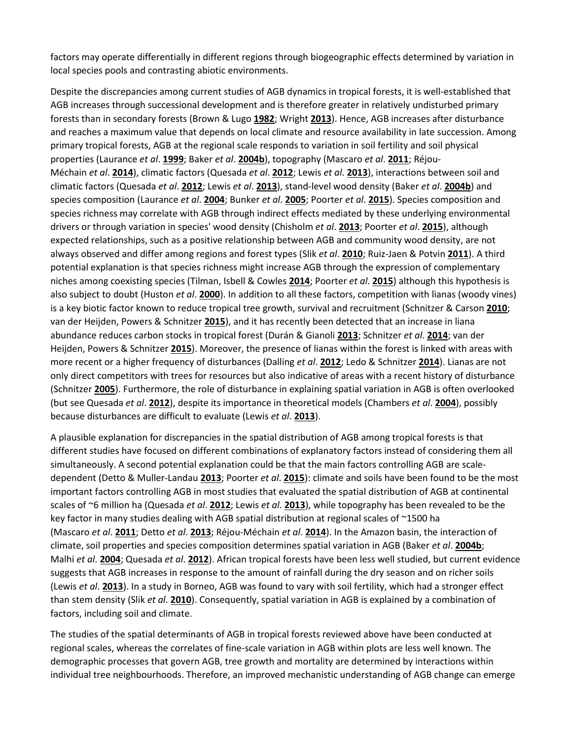factors may operate differentially in different regions through biogeographic effects determined by variation in local species pools and contrasting abiotic environments.

Despite the discrepancies among current studies of AGB dynamics in tropical forests, it is well-established that AGB increases through successional development and is therefore greater in relatively undisturbed primary forests than in secondary forests (Brown & Lugo **[1982](https://besjournals.onlinelibrary.wiley.com/doi/10.1111/1365-2745.12635#jec12635-bib-0008)**; Wright **[2013](https://besjournals.onlinelibrary.wiley.com/doi/10.1111/1365-2745.12635#jec12635-bib-0085)**). Hence, AGB increases after disturbance and reaches a maximum value that depends on local climate and resource availability in late succession. Among primary tropical forests, AGB at the regional scale responds to variation in soil fertility and soil physical properties (Laurance *et al*. **[1999](https://besjournals.onlinelibrary.wiley.com/doi/10.1111/1365-2745.12635#jec12635-bib-0044)**; Baker *et al*. **[2004b](https://besjournals.onlinelibrary.wiley.com/doi/10.1111/1365-2745.12635#jec12635-bib-0006)**), topography (Mascaro *et al*. **[2011](https://besjournals.onlinelibrary.wiley.com/doi/10.1111/1365-2745.12635#jec12635-bib-0053)**; Réjou-Méchain *et al*. **[2014](https://besjournals.onlinelibrary.wiley.com/doi/10.1111/1365-2745.12635#jec12635-bib-0063)**), climatic factors (Quesada *et al*. **[2012](https://besjournals.onlinelibrary.wiley.com/doi/10.1111/1365-2745.12635#jec12635-bib-0062)**; Lewis *et al*. **[2013](https://besjournals.onlinelibrary.wiley.com/doi/10.1111/1365-2745.12635#jec12635-bib-0049)**), interactions between soil and climatic factors (Quesada *et al*. **[2012](https://besjournals.onlinelibrary.wiley.com/doi/10.1111/1365-2745.12635#jec12635-bib-0062)**; Lewis *et al*. **[2013](https://besjournals.onlinelibrary.wiley.com/doi/10.1111/1365-2745.12635#jec12635-bib-0049)**), stand-level wood density (Baker *et al*. **[2004b](https://besjournals.onlinelibrary.wiley.com/doi/10.1111/1365-2745.12635#jec12635-bib-0006)**) and species composition (Laurance *et al*. **[2004](https://besjournals.onlinelibrary.wiley.com/doi/10.1111/1365-2745.12635#jec12635-bib-0045)**; Bunker *et al*. **[2005](https://besjournals.onlinelibrary.wiley.com/doi/10.1111/1365-2745.12635#jec12635-bib-0009)**; Poorter *et al*. **[2015](https://besjournals.onlinelibrary.wiley.com/doi/10.1111/1365-2745.12635#jec12635-bib-0060)**). Species composition and species richness may correlate with AGB through indirect effects mediated by these underlying environmental drivers or through variation in species' wood density (Chisholm *et al*. **[2013](https://besjournals.onlinelibrary.wiley.com/doi/10.1111/1365-2745.12635#jec12635-bib-0016)**; Poorter *et al*. **[2015](https://besjournals.onlinelibrary.wiley.com/doi/10.1111/1365-2745.12635#jec12635-bib-0060)**), although expected relationships, such as a positive relationship between AGB and community wood density, are not always observed and differ among regions and forest types (Slik *et al*. **[2010](https://besjournals.onlinelibrary.wiley.com/doi/10.1111/1365-2745.12635#jec12635-bib-0079)**; Ruiz-Jaen & Potvin **[2011](https://besjournals.onlinelibrary.wiley.com/doi/10.1111/1365-2745.12635#jec12635-bib-0067)**). A third potential explanation is that species richness might increase AGB through the expression of complementary niches among coexisting species (Tilman, Isbell & Cowles **[2014](https://besjournals.onlinelibrary.wiley.com/doi/10.1111/1365-2745.12635#jec12635-bib-0081)**; Poorter *et al*. **[2015](https://besjournals.onlinelibrary.wiley.com/doi/10.1111/1365-2745.12635#jec12635-bib-0060)**) although this hypothesis is also subject to doubt (Huston *et al*. **[2000](https://besjournals.onlinelibrary.wiley.com/doi/10.1111/1365-2745.12635#jec12635-bib-0038)**). In addition to all these factors, competition with lianas (woody vines) is a key biotic factor known to reduce tropical tree growth, survival and recruitment (Schnitzer & Carson **[2010](https://besjournals.onlinelibrary.wiley.com/doi/10.1111/1365-2745.12635#jec12635-bib-0073)**; van der Heijden, Powers & Schnitzer **[2015](https://besjournals.onlinelibrary.wiley.com/doi/10.1111/1365-2745.12635#jec12635-bib-0035)**), and it has recently been detected that an increase in liana abundance reduces carbon stocks in tropical forest (Durán & Gianoli **[2013](https://besjournals.onlinelibrary.wiley.com/doi/10.1111/1365-2745.12635#jec12635-bib-0029)**; Schnitzer *et al*. **[2014](https://besjournals.onlinelibrary.wiley.com/doi/10.1111/1365-2745.12635#jec12635-bib-0077)**; van der Heijden, Powers & Schnitzer **[2015](https://besjournals.onlinelibrary.wiley.com/doi/10.1111/1365-2745.12635#jec12635-bib-0035)**). Moreover, the presence of lianas within the forest is linked with areas with more recent or a higher frequency of disturbances (Dalling *et al*. **[2012](https://besjournals.onlinelibrary.wiley.com/doi/10.1111/1365-2745.12635#jec12635-bib-0024)**; Ledo & Schnitzer **[2014](https://besjournals.onlinelibrary.wiley.com/doi/10.1111/1365-2745.12635#jec12635-bib-0047)**). Lianas are not only direct competitors with trees for resources but also indicative of areas with a recent history of disturbance (Schnitzer **[2005](https://besjournals.onlinelibrary.wiley.com/doi/10.1111/1365-2745.12635#jec12635-bib-0071)**). Furthermore, the role of disturbance in explaining spatial variation in AGB is often overlooked (but see Quesada *et al*. **[2012](https://besjournals.onlinelibrary.wiley.com/doi/10.1111/1365-2745.12635#jec12635-bib-0062)**), despite its importance in theoretical models (Chambers *et al*. **[2004](https://besjournals.onlinelibrary.wiley.com/doi/10.1111/1365-2745.12635#jec12635-bib-0012)**), possibly because disturbances are difficult to evaluate (Lewis *et al*. **[2013](https://besjournals.onlinelibrary.wiley.com/doi/10.1111/1365-2745.12635#jec12635-bib-0049)**).

A plausible explanation for discrepancies in the spatial distribution of AGB among tropical forests is that different studies have focused on different combinations of explanatory factors instead of considering them all simultaneously. A second potential explanation could be that the main factors controlling AGB are scaledependent (Detto & Muller-Landau **[2013](https://besjournals.onlinelibrary.wiley.com/doi/10.1111/1365-2745.12635#jec12635-bib-0025)**; Poorter *et al*. **[2015](https://besjournals.onlinelibrary.wiley.com/doi/10.1111/1365-2745.12635#jec12635-bib-0060)**): climate and soils have been found to be the most important factors controlling AGB in most studies that evaluated the spatial distribution of AGB at continental scales of ~6 million ha (Quesada *et al*. **[2012](https://besjournals.onlinelibrary.wiley.com/doi/10.1111/1365-2745.12635#jec12635-bib-0062)**; Lewis *et al*. **[2013](https://besjournals.onlinelibrary.wiley.com/doi/10.1111/1365-2745.12635#jec12635-bib-0049)**), while topography has been revealed to be the key factor in many studies dealing with AGB spatial distribution at regional scales of ~1500 ha (Mascaro *et al*. **[2011](https://besjournals.onlinelibrary.wiley.com/doi/10.1111/1365-2745.12635#jec12635-bib-0053)**; Detto *et al*. **[2013](https://besjournals.onlinelibrary.wiley.com/doi/10.1111/1365-2745.12635#jec12635-bib-0026)**; Réjou-Méchain *et al*. **[2014](https://besjournals.onlinelibrary.wiley.com/doi/10.1111/1365-2745.12635#jec12635-bib-0063)**). In the Amazon basin, the interaction of climate, soil properties and species composition determines spatial variation in AGB (Baker *et al*. **[2004b](https://besjournals.onlinelibrary.wiley.com/doi/10.1111/1365-2745.12635#jec12635-bib-0006)**; Malhi *et al*. **[2004](https://besjournals.onlinelibrary.wiley.com/doi/10.1111/1365-2745.12635#jec12635-bib-0051)**; Quesada *et al*. **[2012](https://besjournals.onlinelibrary.wiley.com/doi/10.1111/1365-2745.12635#jec12635-bib-0062)**). African tropical forests have been less well studied, but current evidence suggests that AGB increases in response to the amount of rainfall during the dry season and on richer soils (Lewis *et al*. **[2013](https://besjournals.onlinelibrary.wiley.com/doi/10.1111/1365-2745.12635#jec12635-bib-0049)**). In a study in Borneo, AGB was found to vary with soil fertility, which had a stronger effect than stem density (Slik *et al*. **[2010](https://besjournals.onlinelibrary.wiley.com/doi/10.1111/1365-2745.12635#jec12635-bib-0079)**). Consequently, spatial variation in AGB is explained by a combination of factors, including soil and climate.

The studies of the spatial determinants of AGB in tropical forests reviewed above have been conducted at regional scales, whereas the correlates of fine-scale variation in AGB within plots are less well known. The demographic processes that govern AGB, tree growth and mortality are determined by interactions within individual tree neighbourhoods. Therefore, an improved mechanistic understanding of AGB change can emerge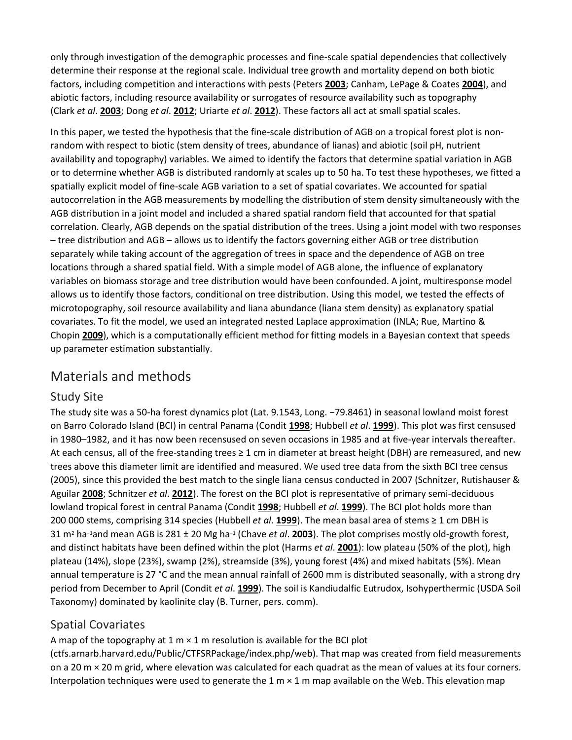only through investigation of the demographic processes and fine-scale spatial dependencies that collectively determine their response at the regional scale. Individual tree growth and mortality depend on both biotic factors, including competition and interactions with pests (Peters **[2003](https://besjournals.onlinelibrary.wiley.com/doi/10.1111/1365-2745.12635#jec12635-bib-0057)**; Canham, LePage & Coates **[2004](https://besjournals.onlinelibrary.wiley.com/doi/10.1111/1365-2745.12635#jec12635-bib-0010)**), and abiotic factors, including resource availability or surrogates of resource availability such as topography (Clark *et al*. **[2003](https://besjournals.onlinelibrary.wiley.com/doi/10.1111/1365-2745.12635#jec12635-bib-0019)**; Dong *et al*. **[2012](https://besjournals.onlinelibrary.wiley.com/doi/10.1111/1365-2745.12635#jec12635-bib-0028)**; Uriarte *et al*. **[2012](https://besjournals.onlinelibrary.wiley.com/doi/10.1111/1365-2745.12635#jec12635-bib-0084)**). These factors all act at small spatial scales.

In this paper, we tested the hypothesis that the fine-scale distribution of AGB on a tropical forest plot is nonrandom with respect to biotic (stem density of trees, abundance of lianas) and abiotic (soil pH, nutrient availability and topography) variables. We aimed to identify the factors that determine spatial variation in AGB or to determine whether AGB is distributed randomly at scales up to 50 ha. To test these hypotheses, we fitted a spatially explicit model of fine-scale AGB variation to a set of spatial covariates. We accounted for spatial autocorrelation in the AGB measurements by modelling the distribution of stem density simultaneously with the AGB distribution in a joint model and included a shared spatial random field that accounted for that spatial correlation. Clearly, AGB depends on the spatial distribution of the trees. Using a joint model with two responses – tree distribution and AGB – allows us to identify the factors governing either AGB or tree distribution separately while taking account of the aggregation of trees in space and the dependence of AGB on tree locations through a shared spatial field. With a simple model of AGB alone, the influence of explanatory variables on biomass storage and tree distribution would have been confounded. A joint, multiresponse model allows us to identify those factors, conditional on tree distribution. Using this model, we tested the effects of microtopography, soil resource availability and liana abundance (liana stem density) as explanatory spatial covariates. To fit the model, we used an integrated nested Laplace approximation (INLA; Rue, Martino & Chopin **[2009](https://besjournals.onlinelibrary.wiley.com/doi/10.1111/1365-2745.12635#jec12635-bib-0066)**), which is a computationally efficient method for fitting models in a Bayesian context that speeds up parameter estimation substantially.

## Materials and methods

#### Study Site

The study site was a 50-ha forest dynamics plot (Lat. 9.1543, Long. −79.8461) in seasonal lowland moist forest on Barro Colorado Island (BCI) in central Panama (Condit **[1998](https://besjournals.onlinelibrary.wiley.com/doi/10.1111/1365-2745.12635#jec12635-bib-0020)**; Hubbell *et al*. **[1999](https://besjournals.onlinelibrary.wiley.com/doi/10.1111/1365-2745.12635#jec12635-bib-0037)**). This plot was first censused in 1980–1982, and it has now been recensused on seven occasions in 1985 and at five-year intervals thereafter. At each census, all of the free‐standing trees ≥ 1 cm in diameter at breast height (DBH) are remeasured, and new trees above this diameter limit are identified and measured. We used tree data from the sixth BCI tree census (2005), since this provided the best match to the single liana census conducted in 2007 (Schnitzer, Rutishauser & Aguilar **[2008](https://besjournals.onlinelibrary.wiley.com/doi/10.1111/1365-2745.12635#jec12635-bib-0075)**; Schnitzer *et al*. **[2012](https://besjournals.onlinelibrary.wiley.com/doi/10.1111/1365-2745.12635#jec12635-bib-0076)**). The forest on the BCI plot is representative of primary semi-deciduous lowland tropical forest in central Panama (Condit **[1998](https://besjournals.onlinelibrary.wiley.com/doi/10.1111/1365-2745.12635#jec12635-bib-0020)**; Hubbell *et al*. **[1999](https://besjournals.onlinelibrary.wiley.com/doi/10.1111/1365-2745.12635#jec12635-bib-0037)**). The BCI plot holds more than 200 000 stems, comprising 314 species (Hubbell *et al*. **[1999](https://besjournals.onlinelibrary.wiley.com/doi/10.1111/1365-2745.12635#jec12635-bib-0037)**). The mean basal area of stems ≥ 1 cm DBH is 31 m2 ha−1and mean AGB is 281 ± 20 Mg ha−<sup>1</sup> (Chave *et al*. **[2003](https://besjournals.onlinelibrary.wiley.com/doi/10.1111/1365-2745.12635#jec12635-bib-0013)**). The plot comprises mostly old-growth forest, and distinct habitats have been defined within the plot (Harms *et al*. **[2001](https://besjournals.onlinelibrary.wiley.com/doi/10.1111/1365-2745.12635#jec12635-bib-0033)**): low plateau (50% of the plot), high plateau (14%), slope (23%), swamp (2%), streamside (3%), young forest (4%) and mixed habitats (5%). Mean annual temperature is 27 °C and the mean annual rainfall of 2600 mm is distributed seasonally, with a strong dry period from December to April (Condit *et al*. **[1999](https://besjournals.onlinelibrary.wiley.com/doi/10.1111/1365-2745.12635#jec12635-bib-0021)**). The soil is Kandiudalfic Eutrudox, Isohyperthermic (USDA Soil Taxonomy) dominated by kaolinite clay (B. Turner, pers. comm).

#### Spatial Covariates

A map of the topography at 1  $m \times 1$  m resolution is available for the BCI plot

(ctfs.arnarb.harvard.edu/Public/CTFSRPackage/index.php/web). That map was created from field measurements on a 20 m  $\times$  20 m grid, where elevation was calculated for each quadrat as the mean of values at its four corners. Interpolation techniques were used to generate the 1  $m \times 1$  m map available on the Web. This elevation map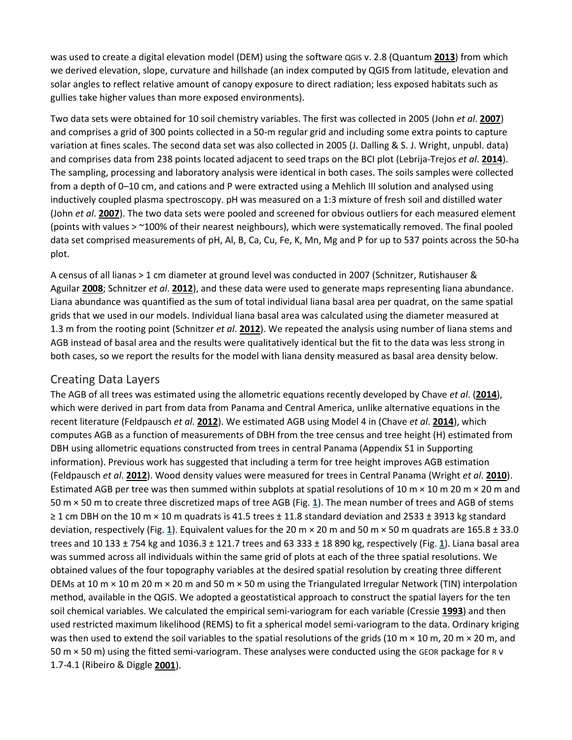was used to create a digital elevation model (DEM) using the software QGIS v. 2.8 (Quantum **[2013](https://besjournals.onlinelibrary.wiley.com/doi/10.1111/1365-2745.12635#jec12635-bib-0061)**) from which we derived elevation, slope, curvature and hillshade (an index computed by QGIS from latitude, elevation and solar angles to reflect relative amount of canopy exposure to direct radiation; less exposed habitats such as gullies take higher values than more exposed environments).

Two data sets were obtained for 10 soil chemistry variables. The first was collected in 2005 (John *et al*. **[2007](https://besjournals.onlinelibrary.wiley.com/doi/10.1111/1365-2745.12635#jec12635-bib-0042)**) and comprises a grid of 300 points collected in a 50-m regular grid and including some extra points to capture variation at fines scales. The second data set was also collected in 2005 (J. Dalling & S. J. Wright, unpubl. data) and comprises data from 238 points located adjacent to seed traps on the BCI plot (Lebrija-Trejos *et al*. **[2014](https://besjournals.onlinelibrary.wiley.com/doi/10.1111/1365-2745.12635#jec12635-bib-0046)**). The sampling, processing and laboratory analysis were identical in both cases. The soils samples were collected from a depth of 0–10 cm, and cations and P were extracted using a Mehlich III solution and analysed using inductively coupled plasma spectroscopy. pH was measured on a 1:3 mixture of fresh soil and distilled water (John *et al*. **[2007](https://besjournals.onlinelibrary.wiley.com/doi/10.1111/1365-2745.12635#jec12635-bib-0042)**). The two data sets were pooled and screened for obvious outliers for each measured element (points with values > ~100% of their nearest neighbours), which were systematically removed. The final pooled data set comprised measurements of pH, Al, B, Ca, Cu, Fe, K, Mn, Mg and P for up to 537 points across the 50‐ha plot.

A census of all lianas > 1 cm diameter at ground level was conducted in 2007 (Schnitzer, Rutishauser & Aguilar **[2008](https://besjournals.onlinelibrary.wiley.com/doi/10.1111/1365-2745.12635#jec12635-bib-0075)**; Schnitzer *et al*. **[2012](https://besjournals.onlinelibrary.wiley.com/doi/10.1111/1365-2745.12635#jec12635-bib-0076)**), and these data were used to generate maps representing liana abundance. Liana abundance was quantified as the sum of total individual liana basal area per quadrat, on the same spatial grids that we used in our models. Individual liana basal area was calculated using the diameter measured at 1.3 m from the rooting point (Schnitzer *et al*. **[2012](https://besjournals.onlinelibrary.wiley.com/doi/10.1111/1365-2745.12635#jec12635-bib-0076)**). We repeated the analysis using number of liana stems and AGB instead of basal area and the results were qualitatively identical but the fit to the data was less strong in both cases, so we report the results for the model with liana density measured as basal area density below.

#### Creating Data Layers

The AGB of all trees was estimated using the allometric equations recently developed by Chave *et al*. (**[2014](https://besjournals.onlinelibrary.wiley.com/doi/10.1111/1365-2745.12635#jec12635-bib-0015)**), which were derived in part from data from Panama and Central America, unlike alternative equations in the recent literature (Feldpausch *et al*. **[2012](https://besjournals.onlinelibrary.wiley.com/doi/10.1111/1365-2745.12635#jec12635-bib-0031)**). We estimated AGB using Model 4 in (Chave *et al*. **[2014](https://besjournals.onlinelibrary.wiley.com/doi/10.1111/1365-2745.12635#jec12635-bib-0015)**), which computes AGB as a function of measurements of DBH from the tree census and tree height (H) estimated from DBH using allometric equations constructed from trees in central Panama (Appendix S1 in Supporting information). Previous work has suggested that including a term for tree height improves AGB estimation (Feldpausch *et al*. **[2012](https://besjournals.onlinelibrary.wiley.com/doi/10.1111/1365-2745.12635#jec12635-bib-0031)**). Wood density values were measured for trees in Central Panama (Wright *et al*. **[2010](https://besjournals.onlinelibrary.wiley.com/doi/10.1111/1365-2745.12635#jec12635-bib-0086)**). Estimated AGB per tree was then summed within subplots at spatial resolutions of 10 m  $\times$  10 m  $\times$  20 m and 50 m × 50 m to create three discretized maps of tree AGB (Fig. **[1](https://besjournals.onlinelibrary.wiley.com/doi/10.1111/1365-2745.12635#jec12635-fig-0001)**). The mean number of trees and AGB of stems  $\geq$  1 cm DBH on the 10 m  $\times$  10 m quadrats is 41.5 trees  $\pm$  11.8 standard deviation and 2533  $\pm$  3913 kg standard deviation, respectively (Fig. **[1](https://besjournals.onlinelibrary.wiley.com/doi/10.1111/1365-2745.12635#jec12635-fig-0001)**). Equivalent values for the 20 m × 20 m and 50 m × 50 m quadrats are 165.8 ± 33.0 trees and 10 133 ± 754 kg and 1036.3 ± 121.7 trees and 63 333 ± 18 890 kg, respectively (Fig. **[1](https://besjournals.onlinelibrary.wiley.com/doi/10.1111/1365-2745.12635#jec12635-fig-0001)**). Liana basal area was summed across all individuals within the same grid of plots at each of the three spatial resolutions. We obtained values of the four topography variables at the desired spatial resolution by creating three different DEMs at 10 m × 10 m 20 m × 20 m and 50 m × 50 m using the Triangulated Irregular Network (TIN) interpolation method, available in the QGIS. We adopted a geostatistical approach to construct the spatial layers for the ten soil chemical variables. We calculated the empirical semi-variogram for each variable (Cressie **[1993](https://besjournals.onlinelibrary.wiley.com/doi/10.1111/1365-2745.12635#jec12635-bib-0023)**) and then used restricted maximum likelihood (REMS) to fit a spherical model semi-variogram to the data. Ordinary kriging was then used to extend the soil variables to the spatial resolutions of the grids (10 m  $\times$  10 m, 20 m  $\times$  20 m, and 50 m × 50 m) using the fitted semi-variogram. These analyses were conducted using the GEOR package for R v 1.7‐4.1 (Ribeiro & Diggle **[2001](https://besjournals.onlinelibrary.wiley.com/doi/10.1111/1365-2745.12635#jec12635-bib-0064)**).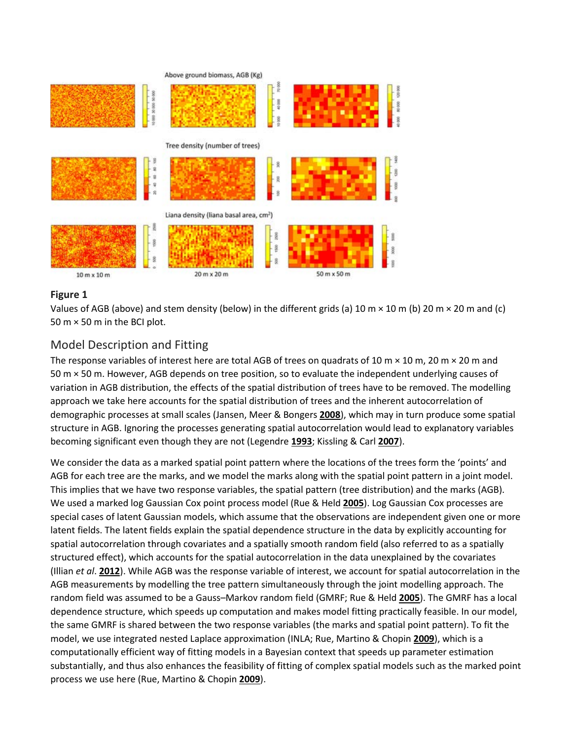

#### **Figure 1**

Values of AGB (above) and stem density (below) in the different grids (a) 10 m  $\times$  10 m (b) 20 m  $\times$  20 m and (c) 50 m × 50 m in the BCI plot.

## Model Description and Fitting

The response variables of interest here are total AGB of trees on quadrats of 10 m  $\times$  10 m, 20 m  $\times$  20 m and 50 m × 50 m. However, AGB depends on tree position, so to evaluate the independent underlying causes of variation in AGB distribution, the effects of the spatial distribution of trees have to be removed. The modelling approach we take here accounts for the spatial distribution of trees and the inherent autocorrelation of demographic processes at small scales (Jansen, Meer & Bongers **[2008](https://besjournals.onlinelibrary.wiley.com/doi/10.1111/1365-2745.12635#jec12635-bib-0041)**), which may in turn produce some spatial structure in AGB. Ignoring the processes generating spatial autocorrelation would lead to explanatory variables becoming significant even though they are not (Legendre **[1993](https://besjournals.onlinelibrary.wiley.com/doi/10.1111/1365-2745.12635#jec12635-bib-0048)**; Kissling & Carl **[2007](https://besjournals.onlinelibrary.wiley.com/doi/10.1111/1365-2745.12635#jec12635-bib-0043)**).

We consider the data as a marked spatial point pattern where the locations of the trees form the 'points' and AGB for each tree are the marks, and we model the marks along with the spatial point pattern in a joint model. This implies that we have two response variables, the spatial pattern (tree distribution) and the marks (AGB). We used a marked log Gaussian Cox point process model (Rue & Held **[2005](https://besjournals.onlinelibrary.wiley.com/doi/10.1111/1365-2745.12635#jec12635-bib-0065)**). Log Gaussian Cox processes are special cases of latent Gaussian models, which assume that the observations are independent given one or more latent fields. The latent fields explain the spatial dependence structure in the data by explicitly accounting for spatial autocorrelation through covariates and a spatially smooth random field (also referred to as a spatially structured effect), which accounts for the spatial autocorrelation in the data unexplained by the covariates (Illian *et al*. **[2012](https://besjournals.onlinelibrary.wiley.com/doi/10.1111/1365-2745.12635#jec12635-bib-0039)**). While AGB was the response variable of interest, we account for spatial autocorrelation in the AGB measurements by modelling the tree pattern simultaneously through the joint modelling approach. The random field was assumed to be a Gauss–Markov random field (GMRF; Rue & Held **[2005](https://besjournals.onlinelibrary.wiley.com/doi/10.1111/1365-2745.12635#jec12635-bib-0065)**). The GMRF has a local dependence structure, which speeds up computation and makes model fitting practically feasible. In our model, the same GMRF is shared between the two response variables (the marks and spatial point pattern). To fit the model, we use integrated nested Laplace approximation (INLA; Rue, Martino & Chopin **[2009](https://besjournals.onlinelibrary.wiley.com/doi/10.1111/1365-2745.12635#jec12635-bib-0066)**), which is a computationally efficient way of fitting models in a Bayesian context that speeds up parameter estimation substantially, and thus also enhances the feasibility of fitting of complex spatial models such as the marked point process we use here (Rue, Martino & Chopin **[2009](https://besjournals.onlinelibrary.wiley.com/doi/10.1111/1365-2745.12635#jec12635-bib-0066)**).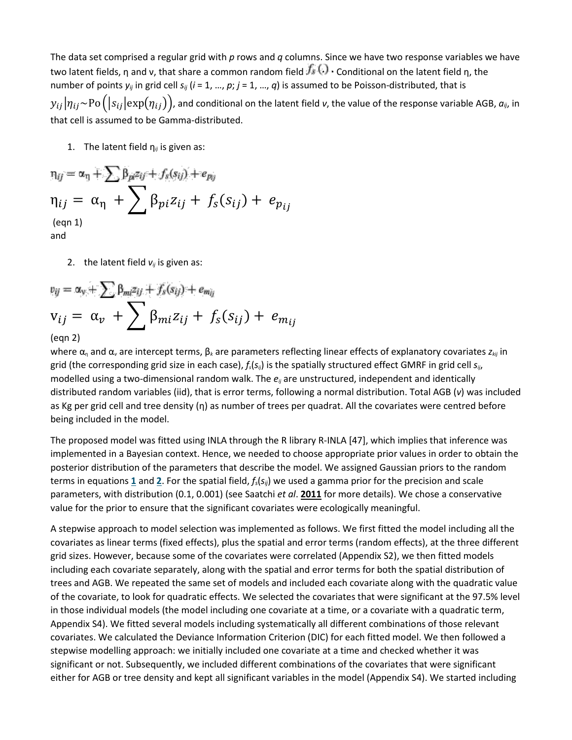The data set comprised a regular grid with *p* rows and *q* columns. Since we have two response variables we have two latent fields, η and ν, that share a common random field  $f_{\ell}(\cdot)$  · Conditional on the latent field η, the number of points  $y_{ij}$  in grid cell  $s_{ij}$  ( $i = 1, ..., p$ ;  $j = 1, ..., q$ ) is assumed to be Poisson-distributed, that is  $y_{ij}|\eta_{ij}$ ~Po  $(|s_{ij}|\exp(\eta_{ij}))$ , and conditional on the latent field *v*, the value of the response variable AGB,  $a_{ij}$ , in that cell is assumed to be Gamma-distributed.

1. The latent field η*ij* is given as:

$$
\eta_{ij} = \alpha_{ij} + \sum \beta_{ji} z_{ij} + f_s(s_{ij}) + e_{pj}
$$
\n
$$
\eta_{ij} = \alpha_{ij} + \sum \beta_{pi} z_{ij} + f_s(s_{ij}) + e_{pj}
$$
\n
$$
\sum_{\text{(eqn 1)}}
$$
\n
$$
\text{and}
$$

2. the latent field  $v_{ij}$  is given as:

$$
v_{ij} = \alpha_v + \sum \beta_{mi} z_{ij} + f_s(s_{ij}) + e_{mj}
$$
  
\n
$$
v_{ij} = \alpha_v + \sum \beta_{mi} z_{ij} + f_s(s_{ij}) + e_{mj}
$$
  
\n
$$
e_{j}
$$

(eqn 2)

where αη and α*<sup>v</sup>* are intercept terms, β*<sup>k</sup>* are parameters reflecting linear effects of explanatory covariates *zkij* in grid (the corresponding grid size in each case), *fs*(*sij*) is the spatially structured effect GMRF in grid cell *sij*, modelled using a two-dimensional random walk. The *eij* are unstructured, independent and identically distributed random variables (iid), that is error terms, following a normal distribution. Total AGB (*v*) was included as Kg per grid cell and tree density (η) as number of trees per quadrat. All the covariates were centred before being included in the model.

The proposed model was fitted using INLA through the R library R-INLA [47], which implies that inference was implemented in a Bayesian context. Hence, we needed to choose appropriate prior values in order to obtain the posterior distribution of the parameters that describe the model. We assigned Gaussian priors to the random terms in equations **[1](https://besjournals.onlinelibrary.wiley.com/doi/10.1111/1365-2745.12635#jec12635-disp-0001)** and **[2](https://besjournals.onlinelibrary.wiley.com/doi/10.1111/1365-2745.12635#jec12635-disp-0002)**. For the spatial field, *fs*(*sij*) we used a gamma prior for the precision and scale parameters, with distribution (0.1, 0.001) (see Saatchi *et al*. **[2011](https://besjournals.onlinelibrary.wiley.com/doi/10.1111/1365-2745.12635#jec12635-bib-0068)** for more details). We chose a conservative value for the prior to ensure that the significant covariates were ecologically meaningful.

A stepwise approach to model selection was implemented as follows. We first fitted the model including all the covariates as linear terms (fixed effects), plus the spatial and error terms (random effects), at the three different grid sizes. However, because some of the covariates were correlated (Appendix S2), we then fitted models including each covariate separately, along with the spatial and error terms for both the spatial distribution of trees and AGB. We repeated the same set of models and included each covariate along with the quadratic value of the covariate, to look for quadratic effects. We selected the covariates that were significant at the 97.5% level in those individual models (the model including one covariate at a time, or a covariate with a quadratic term, Appendix S4). We fitted several models including systematically all different combinations of those relevant covariates. We calculated the Deviance Information Criterion (DIC) for each fitted model. We then followed a stepwise modelling approach: we initially included one covariate at a time and checked whether it was significant or not. Subsequently, we included different combinations of the covariates that were significant either for AGB or tree density and kept all significant variables in the model (Appendix S4). We started including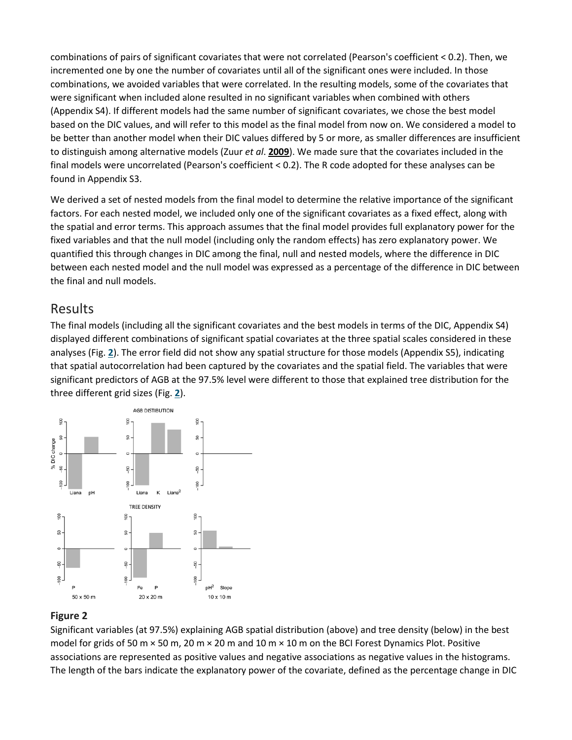combinations of pairs of significant covariates that were not correlated (Pearson's coefficient < 0.2). Then, we incremented one by one the number of covariates until all of the significant ones were included. In those combinations, we avoided variables that were correlated. In the resulting models, some of the covariates that were significant when included alone resulted in no significant variables when combined with others (Appendix S4). If different models had the same number of significant covariates, we chose the best model based on the DIC values, and will refer to this model as the final model from now on. We considered a model to be better than another model when their DIC values differed by 5 or more, as smaller differences are insufficient to distinguish among alternative models (Zuur *et al*. **[2009](https://besjournals.onlinelibrary.wiley.com/doi/10.1111/1365-2745.12635#jec12635-bib-0090)**). We made sure that the covariates included in the final models were uncorrelated (Pearson's coefficient < 0.2). The R code adopted for these analyses can be found in Appendix S3.

We derived a set of nested models from the final model to determine the relative importance of the significant factors. For each nested model, we included only one of the significant covariates as a fixed effect, along with the spatial and error terms. This approach assumes that the final model provides full explanatory power for the fixed variables and that the null model (including only the random effects) has zero explanatory power. We quantified this through changes in DIC among the final, null and nested models, where the difference in DIC between each nested model and the null model was expressed as a percentage of the difference in DIC between the final and null models.

#### Results

The final models (including all the significant covariates and the best models in terms of the DIC, Appendix S4) displayed different combinations of significant spatial covariates at the three spatial scales considered in these analyses (Fig. **[2](https://besjournals.onlinelibrary.wiley.com/doi/10.1111/1365-2745.12635#jec12635-fig-0002)**). The error field did not show any spatial structure for those models (Appendix S5), indicating that spatial autocorrelation had been captured by the covariates and the spatial field. The variables that were significant predictors of AGB at the 97.5% level were different to those that explained tree distribution for the three different grid sizes (Fig. **[2](https://besjournals.onlinelibrary.wiley.com/doi/10.1111/1365-2745.12635#jec12635-fig-0002)**).



#### **Figure 2**

Significant variables (at 97.5%) explaining AGB spatial distribution (above) and tree density (below) in the best model for grids of 50 m  $\times$  50 m, 20 m  $\times$  20 m and 10 m  $\times$  10 m on the BCI Forest Dynamics Plot. Positive associations are represented as positive values and negative associations as negative values in the histograms. The length of the bars indicate the explanatory power of the covariate, defined as the percentage change in DIC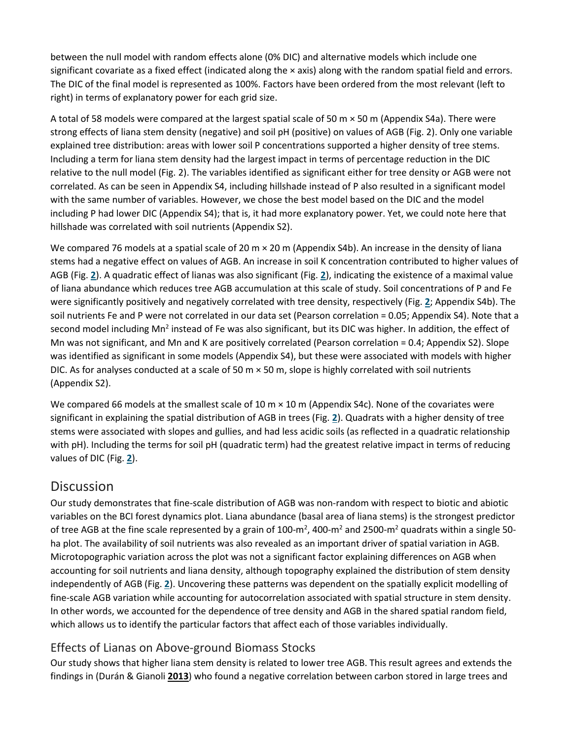between the null model with random effects alone (0% DIC) and alternative models which include one significant covariate as a fixed effect (indicated along the × axis) along with the random spatial field and errors. The DIC of the final model is represented as 100%. Factors have been ordered from the most relevant (left to right) in terms of explanatory power for each grid size.

A total of 58 models were compared at the largest spatial scale of 50 m × 50 m (Appendix S4a). There were strong effects of liana stem density (negative) and soil pH (positive) on values of AGB (Fig. [2\)](https://besjournals.onlinelibrary.wiley.com/doi/10.1111/1365-2745.12635#jec12635-fig-0002). Only one variable explained tree distribution: areas with lower soil P concentrations supported a higher density of tree stems. Including a term for liana stem density had the largest impact in terms of percentage reduction in the DIC relative to the null model (Fig. [2\)](https://besjournals.onlinelibrary.wiley.com/doi/10.1111/1365-2745.12635#jec12635-fig-0002). The variables identified as significant either for tree density or AGB were not correlated. As can be seen in Appendix S4, including hillshade instead of P also resulted in a significant model with the same number of variables. However, we chose the best model based on the DIC and the model including P had lower DIC (Appendix S4); that is, it had more explanatory power. Yet, we could note here that hillshade was correlated with soil nutrients (Appendix S2).

We compared 76 models at a spatial scale of 20 m  $\times$  20 m (Appendix S4b). An increase in the density of liana stems had a negative effect on values of AGB. An increase in soil K concentration contributed to higher values of AGB (Fig. **[2](https://besjournals.onlinelibrary.wiley.com/doi/10.1111/1365-2745.12635#jec12635-fig-0002)**). A quadratic effect of lianas was also significant (Fig. **[2](https://besjournals.onlinelibrary.wiley.com/doi/10.1111/1365-2745.12635#jec12635-fig-0002)**), indicating the existence of a maximal value of liana abundance which reduces tree AGB accumulation at this scale of study. Soil concentrations of P and Fe were significantly positively and negatively correlated with tree density, respectively (Fig. **[2](https://besjournals.onlinelibrary.wiley.com/doi/10.1111/1365-2745.12635#jec12635-fig-0002)**; Appendix S4b). The soil nutrients Fe and P were not correlated in our data set (Pearson correlation = 0.05; Appendix S4). Note that a second model including Mn<sup>2</sup> instead of Fe was also significant, but its DIC was higher. In addition, the effect of Mn was not significant, and Mn and K are positively correlated (Pearson correlation = 0.4; Appendix S2). Slope was identified as significant in some models (Appendix S4), but these were associated with models with higher DIC. As for analyses conducted at a scale of 50 m  $\times$  50 m, slope is highly correlated with soil nutrients (Appendix S2).

We compared 66 models at the smallest scale of 10 m  $\times$  10 m (Appendix S4c). None of the covariates were significant in explaining the spatial distribution of AGB in trees (Fig. **[2](https://besjournals.onlinelibrary.wiley.com/doi/10.1111/1365-2745.12635#jec12635-fig-0002)**). Quadrats with a higher density of tree stems were associated with slopes and gullies, and had less acidic soils (as reflected in a quadratic relationship with pH). Including the terms for soil pH (quadratic term) had the greatest relative impact in terms of reducing values of DIC (Fig. **[2](https://besjournals.onlinelibrary.wiley.com/doi/10.1111/1365-2745.12635#jec12635-fig-0002)**).

## Discussion

Our study demonstrates that fine-scale distribution of AGB was non-random with respect to biotic and abiotic variables on the BCI forest dynamics plot. Liana abundance (basal area of liana stems) is the strongest predictor of tree AGB at the fine scale represented by a grain of 100-m<sup>2</sup>, 400-m<sup>2</sup> and 2500-m<sup>2</sup> quadrats within a single 50ha plot. The availability of soil nutrients was also revealed as an important driver of spatial variation in AGB. Microtopographic variation across the plot was not a significant factor explaining differences on AGB when accounting for soil nutrients and liana density, although topography explained the distribution of stem density independently of AGB (Fig. **[2](https://besjournals.onlinelibrary.wiley.com/doi/10.1111/1365-2745.12635#jec12635-fig-0002)**). Uncovering these patterns was dependent on the spatially explicit modelling of fine-scale AGB variation while accounting for autocorrelation associated with spatial structure in stem density. In other words, we accounted for the dependence of tree density and AGB in the shared spatial random field, which allows us to identify the particular factors that affect each of those variables individually.

#### Effects of Lianas on Above-ground Biomass Stocks

Our study shows that higher liana stem density is related to lower tree AGB. This result agrees and extends the findings in (Durán & Gianoli **[2013](https://besjournals.onlinelibrary.wiley.com/doi/10.1111/1365-2745.12635#jec12635-bib-0029)**) who found a negative correlation between carbon stored in large trees and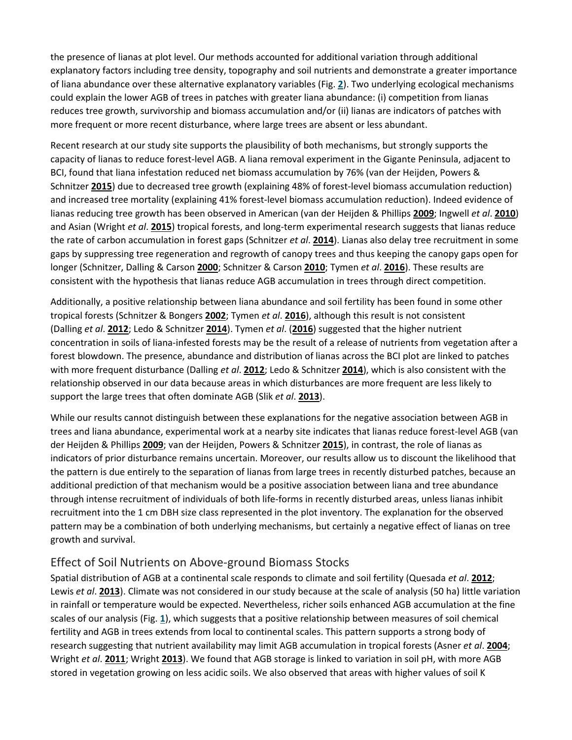the presence of lianas at plot level. Our methods accounted for additional variation through additional explanatory factors including tree density, topography and soil nutrients and demonstrate a greater importance of liana abundance over these alternative explanatory variables (Fig. **[2](https://besjournals.onlinelibrary.wiley.com/doi/10.1111/1365-2745.12635#jec12635-fig-0002)**). Two underlying ecological mechanisms could explain the lower AGB of trees in patches with greater liana abundance: (i) competition from lianas reduces tree growth, survivorship and biomass accumulation and/or (ii) lianas are indicators of patches with more frequent or more recent disturbance, where large trees are absent or less abundant.

Recent research at our study site supports the plausibility of both mechanisms, but strongly supports the capacity of lianas to reduce forest-level AGB. A liana removal experiment in the Gigante Peninsula, adjacent to BCI, found that liana infestation reduced net biomass accumulation by 76% (van der Heijden, Powers & Schnitzer **[2015](https://besjournals.onlinelibrary.wiley.com/doi/10.1111/1365-2745.12635#jec12635-bib-0035)**) due to decreased tree growth (explaining 48% of forest-level biomass accumulation reduction) and increased tree mortality (explaining 41% forest-level biomass accumulation reduction). Indeed evidence of lianas reducing tree growth has been observed in American (van der Heijden & Phillips **[2009](https://besjournals.onlinelibrary.wiley.com/doi/10.1111/1365-2745.12635#jec12635-bib-0034)**; Ingwell *et al*. **[2010](https://besjournals.onlinelibrary.wiley.com/doi/10.1111/1365-2745.12635#jec12635-bib-0040)**) and Asian (Wright *et al*. **[2015](https://besjournals.onlinelibrary.wiley.com/doi/10.1111/1365-2745.12635#jec12635-bib-0088)**) tropical forests, and long-term experimental research suggests that lianas reduce the rate of carbon accumulation in forest gaps (Schnitzer *et al*. **[2014](https://besjournals.onlinelibrary.wiley.com/doi/10.1111/1365-2745.12635#jec12635-bib-0077)**). Lianas also delay tree recruitment in some gaps by suppressing tree regeneration and regrowth of canopy trees and thus keeping the canopy gaps open for longer (Schnitzer, Dalling & Carson **[2000](https://besjournals.onlinelibrary.wiley.com/doi/10.1111/1365-2745.12635#jec12635-bib-0074)**; Schnitzer & Carson **[2010](https://besjournals.onlinelibrary.wiley.com/doi/10.1111/1365-2745.12635#jec12635-bib-0073)**; Tymen *et al*. **[2016](https://besjournals.onlinelibrary.wiley.com/doi/10.1111/1365-2745.12635#jec12635-bib-0083)**). These results are consistent with the hypothesis that lianas reduce AGB accumulation in trees through direct competition.

Additionally, a positive relationship between liana abundance and soil fertility has been found in some other tropical forests (Schnitzer & Bongers **[2002](https://besjournals.onlinelibrary.wiley.com/doi/10.1111/1365-2745.12635#jec12635-bib-0072)**; Tymen *et al*. **[2016](https://besjournals.onlinelibrary.wiley.com/doi/10.1111/1365-2745.12635#jec12635-bib-0083)**), although this result is not consistent (Dalling *et al*. **[2012](https://besjournals.onlinelibrary.wiley.com/doi/10.1111/1365-2745.12635#jec12635-bib-0024)**; Ledo & Schnitzer **[2014](https://besjournals.onlinelibrary.wiley.com/doi/10.1111/1365-2745.12635#jec12635-bib-0047)**). Tymen *et al*. (**[2016](https://besjournals.onlinelibrary.wiley.com/doi/10.1111/1365-2745.12635#jec12635-bib-0083)**) suggested that the higher nutrient concentration in soils of liana-infested forests may be the result of a release of nutrients from vegetation after a forest blowdown. The presence, abundance and distribution of lianas across the BCI plot are linked to patches with more frequent disturbance (Dalling *et al*. **[2012](https://besjournals.onlinelibrary.wiley.com/doi/10.1111/1365-2745.12635#jec12635-bib-0024)**; Ledo & Schnitzer **[2014](https://besjournals.onlinelibrary.wiley.com/doi/10.1111/1365-2745.12635#jec12635-bib-0047)**), which is also consistent with the relationship observed in our data because areas in which disturbances are more frequent are less likely to support the large trees that often dominate AGB (Slik *et al*. **[2013](https://besjournals.onlinelibrary.wiley.com/doi/10.1111/1365-2745.12635#jec12635-bib-0080)**).

While our results cannot distinguish between these explanations for the negative association between AGB in trees and liana abundance, experimental work at a nearby site indicates that lianas reduce forest-level AGB (van der Heijden & Phillips **[2009](https://besjournals.onlinelibrary.wiley.com/doi/10.1111/1365-2745.12635#jec12635-bib-0034)**; van der Heijden, Powers & Schnitzer **[2015](https://besjournals.onlinelibrary.wiley.com/doi/10.1111/1365-2745.12635#jec12635-bib-0035)**), in contrast, the role of lianas as indicators of prior disturbance remains uncertain. Moreover, our results allow us to discount the likelihood that the pattern is due entirely to the separation of lianas from large trees in recently disturbed patches, because an additional prediction of that mechanism would be a positive association between liana and tree abundance through intense recruitment of individuals of both life-forms in recently disturbed areas, unless lianas inhibit recruitment into the 1 cm DBH size class represented in the plot inventory. The explanation for the observed pattern may be a combination of both underlying mechanisms, but certainly a negative effect of lianas on tree growth and survival.

#### Effect of Soil Nutrients on Above-ground Biomass Stocks

Spatial distribution of AGB at a continental scale responds to climate and soil fertility (Quesada *et al*. **[2012](https://besjournals.onlinelibrary.wiley.com/doi/10.1111/1365-2745.12635#jec12635-bib-0062)**; Lewis *et al*. **[2013](https://besjournals.onlinelibrary.wiley.com/doi/10.1111/1365-2745.12635#jec12635-bib-0049)**). Climate was not considered in our study because at the scale of analysis (50 ha) little variation in rainfall or temperature would be expected. Nevertheless, richer soils enhanced AGB accumulation at the fine scales of our analysis (Fig. **[1](https://besjournals.onlinelibrary.wiley.com/doi/10.1111/1365-2745.12635#jec12635-fig-0001)**), which suggests that a positive relationship between measures of soil chemical fertility and AGB in trees extends from local to continental scales. This pattern supports a strong body of research suggesting that nutrient availability may limit AGB accumulation in tropical forests (Asner *et al*. **[2004](https://besjournals.onlinelibrary.wiley.com/doi/10.1111/1365-2745.12635#jec12635-bib-0003)**; Wright *et al*. **[2011](https://besjournals.onlinelibrary.wiley.com/doi/10.1111/1365-2745.12635#jec12635-bib-0087)**; Wright **[2013](https://besjournals.onlinelibrary.wiley.com/doi/10.1111/1365-2745.12635#jec12635-bib-0085)**). We found that AGB storage is linked to variation in soil pH, with more AGB stored in vegetation growing on less acidic soils. We also observed that areas with higher values of soil K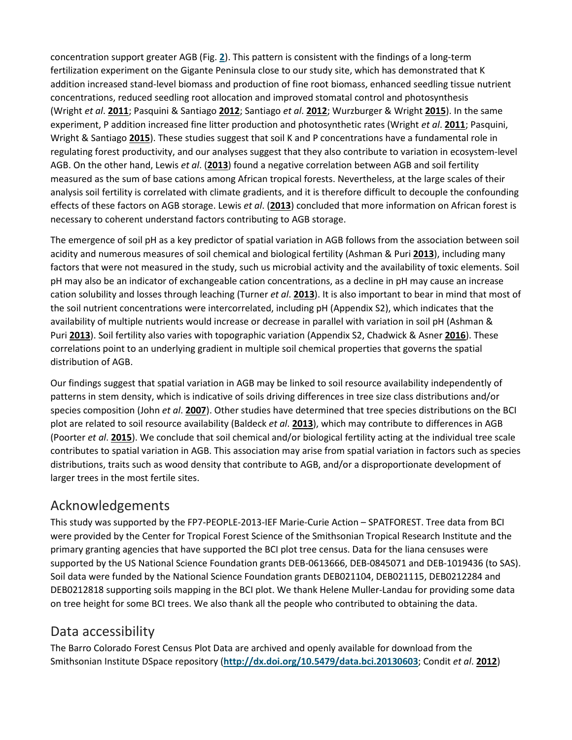concentration support greater AGB (Fig. **[2](https://besjournals.onlinelibrary.wiley.com/doi/10.1111/1365-2745.12635#jec12635-fig-0002)**). This pattern is consistent with the findings of a long-term fertilization experiment on the Gigante Peninsula close to our study site, which has demonstrated that K addition increased stand-level biomass and production of fine root biomass, enhanced seedling tissue nutrient concentrations, reduced seedling root allocation and improved stomatal control and photosynthesis (Wright *et al*. **[2011](https://besjournals.onlinelibrary.wiley.com/doi/10.1111/1365-2745.12635#jec12635-bib-0087)**; Pasquini & Santiago **[2012](https://besjournals.onlinelibrary.wiley.com/doi/10.1111/1365-2745.12635#jec12635-bib-0055)**; Santiago *et al*. **[2012](https://besjournals.onlinelibrary.wiley.com/doi/10.1111/1365-2745.12635#jec12635-bib-0069)**; Wurzburger & Wright **[2015](https://besjournals.onlinelibrary.wiley.com/doi/10.1111/1365-2745.12635#jec12635-bib-0089)**). In the same experiment, P addition increased fine litter production and photosynthetic rates (Wright *et al*. **[2011](https://besjournals.onlinelibrary.wiley.com/doi/10.1111/1365-2745.12635#jec12635-bib-0087)**; Pasquini, Wright & Santiago **[2015](https://besjournals.onlinelibrary.wiley.com/doi/10.1111/1365-2745.12635#jec12635-bib-0056)**). These studies suggest that soil K and P concentrations have a fundamental role in regulating forest productivity, and our analyses suggest that they also contribute to variation in ecosystem-level AGB. On the other hand, Lewis *et al*. (**[2013](https://besjournals.onlinelibrary.wiley.com/doi/10.1111/1365-2745.12635#jec12635-bib-0049)**) found a negative correlation between AGB and soil fertility measured as the sum of base cations among African tropical forests. Nevertheless, at the large scales of their analysis soil fertility is correlated with climate gradients, and it is therefore difficult to decouple the confounding effects of these factors on AGB storage. Lewis *et al*. (**[2013](https://besjournals.onlinelibrary.wiley.com/doi/10.1111/1365-2745.12635#jec12635-bib-0049)**) concluded that more information on African forest is necessary to coherent understand factors contributing to AGB storage.

The emergence of soil pH as a key predictor of spatial variation in AGB follows from the association between soil acidity and numerous measures of soil chemical and biological fertility (Ashman & Puri **[2013](https://besjournals.onlinelibrary.wiley.com/doi/10.1111/1365-2745.12635#jec12635-bib-0002)**), including many factors that were not measured in the study, such us microbial activity and the availability of toxic elements. Soil pH may also be an indicator of exchangeable cation concentrations, as a decline in pH may cause an increase cation solubility and losses through leaching (Turner *et al*. **[2013](https://besjournals.onlinelibrary.wiley.com/doi/10.1111/1365-2745.12635#jec12635-bib-0082)**). It is also important to bear in mind that most of the soil nutrient concentrations were intercorrelated, including pH (Appendix S2), which indicates that the availability of multiple nutrients would increase or decrease in parallel with variation in soil pH (Ashman & Puri **[2013](https://besjournals.onlinelibrary.wiley.com/doi/10.1111/1365-2745.12635#jec12635-bib-0002)**). Soil fertility also varies with topographic variation (Appendix S2, Chadwick & Asner **[2016](https://besjournals.onlinelibrary.wiley.com/doi/10.1111/1365-2745.12635#jec12635-bib-0011)**). These correlations point to an underlying gradient in multiple soil chemical properties that governs the spatial distribution of AGB.

Our findings suggest that spatial variation in AGB may be linked to soil resource availability independently of patterns in stem density, which is indicative of soils driving differences in tree size class distributions and/or species composition (John *et al*. **[2007](https://besjournals.onlinelibrary.wiley.com/doi/10.1111/1365-2745.12635#jec12635-bib-0042)**). Other studies have determined that tree species distributions on the BCI plot are related to soil resource availability (Baldeck *et al*. **[2013](https://besjournals.onlinelibrary.wiley.com/doi/10.1111/1365-2745.12635#jec12635-bib-0007)**), which may contribute to differences in AGB (Poorter *et al*. **[2015](https://besjournals.onlinelibrary.wiley.com/doi/10.1111/1365-2745.12635#jec12635-bib-0060)**). We conclude that soil chemical and/or biological fertility acting at the individual tree scale contributes to spatial variation in AGB. This association may arise from spatial variation in factors such as species distributions, traits such as wood density that contribute to AGB, and/or a disproportionate development of larger trees in the most fertile sites.

## Acknowledgements

This study was supported by the FP7‐PEOPLE‐2013‐IEF Marie‐Curie Action – SPATFOREST. Tree data from BCI were provided by the Center for Tropical Forest Science of the Smithsonian Tropical Research Institute and the primary granting agencies that have supported the BCI plot tree census. Data for the liana censuses were supported by the US National Science Foundation grants DEB-0613666, DEB-0845071 and DEB-1019436 (to SAS). Soil data were funded by the National Science Foundation grants DEB021104, DEB021115, DEB0212284 and DEB0212818 supporting soils mapping in the BCI plot. We thank Helene Muller-Landau for providing some data on tree height for some BCI trees. We also thank all the people who contributed to obtaining the data.

## Data accessibility

The Barro Colorado Forest Census Plot Data are archived and openly available for download from the Smithsonian Institute DSpace repository (**<http://dx.doi.org/10.5479/data.bci.20130603>**; Condit *et al*. **[2012](https://besjournals.onlinelibrary.wiley.com/doi/10.1111/1365-2745.12635#jec12635-bib-0500)**)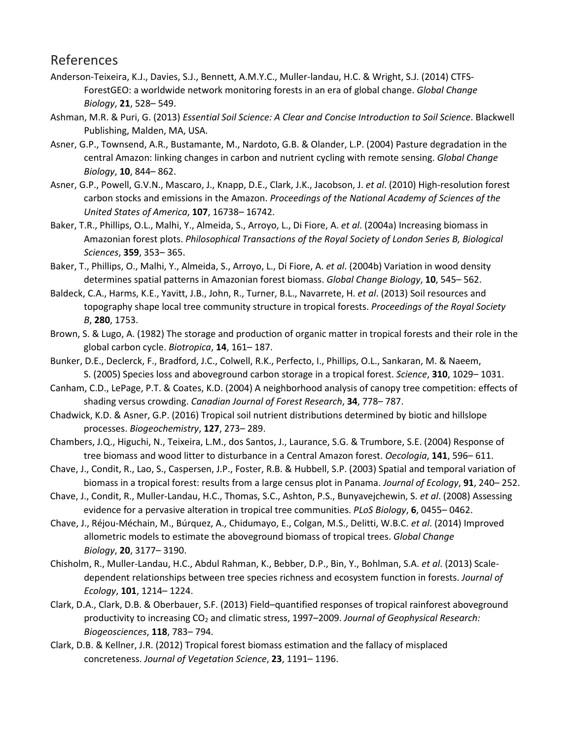### References

- Anderson-Teixeira, K.J., Davies, S.J., Bennett, A.M.Y.C., Muller-landau, H.C. & Wright, S.J. (2014) CTFS-ForestGEO: a worldwide network monitoring forests in an era of global change. *Global Change Biology*, **21**, 528– 549.
- Ashman, M.R. & Puri, G. (2013) *Essential Soil Science: A Clear and Concise Introduction to Soil Science*. Blackwell Publishing, Malden, MA, USA.
- Asner, G.P., Townsend, A.R., Bustamante, M., Nardoto, G.B. & Olander, L.P. (2004) Pasture degradation in the central Amazon: linking changes in carbon and nutrient cycling with remote sensing. *Global Change Biology*, **10**, 844– 862.
- Asner, G.P., Powell, G.V.N., Mascaro, J., Knapp, D.E., Clark, J.K., Jacobson, J. *et al*. (2010) High-resolution forest carbon stocks and emissions in the Amazon. *Proceedings of the National Academy of Sciences of the United States of America*, **107**, 16738– 16742.
- Baker, T.R., Phillips, O.L., Malhi, Y., Almeida, S., Arroyo, L., Di Fiore, A. *et al*. (2004a) Increasing biomass in Amazonian forest plots. *Philosophical Transactions of the Royal Society of London Series B, Biological Sciences*, **359**, 353– 365.
- Baker, T., Phillips, O., Malhi, Y., Almeida, S., Arroyo, L., Di Fiore, A. *et al*. (2004b) Variation in wood density determines spatial patterns in Amazonian forest biomass. *Global Change Biology*, **10**, 545– 562.
- Baldeck, C.A., Harms, K.E., Yavitt, J.B., John, R., Turner, B.L., Navarrete, H. *et al*. (2013) Soil resources and topography shape local tree community structure in tropical forests. *Proceedings of the Royal Society B*, **280**, 1753.
- Brown, S. & Lugo, A. (1982) The storage and production of organic matter in tropical forests and their role in the global carbon cycle. *Biotropica*, **14**, 161– 187.
- Bunker, D.E., Declerck, F., Bradford, J.C., Colwell, R.K., Perfecto, I., Phillips, O.L., Sankaran, M. & Naeem, S. (2005) Species loss and aboveground carbon storage in a tropical forest. *Science*, **310**, 1029– 1031.
- Canham, C.D., LePage, P.T. & Coates, K.D. (2004) A neighborhood analysis of canopy tree competition: effects of shading versus crowding. *Canadian Journal of Forest Research*, **34**, 778– 787.
- Chadwick, K.D. & Asner, G.P. (2016) Tropical soil nutrient distributions determined by biotic and hillslope processes. *Biogeochemistry*, **127**, 273– 289.
- Chambers, J.Q., Higuchi, N., Teixeira, L.M., dos Santos, J., Laurance, S.G. & Trumbore, S.E. (2004) Response of tree biomass and wood litter to disturbance in a Central Amazon forest. *Oecologia*, **141**, 596– 611.
- Chave, J., Condit, R., Lao, S., Caspersen, J.P., Foster, R.B. & Hubbell, S.P. (2003) Spatial and temporal variation of biomass in a tropical forest: results from a large census plot in Panama. *Journal of Ecology*, **91**, 240– 252.
- Chave, J., Condit, R., Muller-Landau, H.C., Thomas, S.C., Ashton, P.S., Bunyavejchewin, S. *et al*. (2008) Assessing evidence for a pervasive alteration in tropical tree communities. *PLoS Biology*, **6**, 0455– 0462.
- Chave, J., Réjou-Méchain, M., Búrquez, A., Chidumayo, E., Colgan, M.S., Delitti, W.B.C. *et al*. (2014) Improved allometric models to estimate the aboveground biomass of tropical trees. *Global Change Biology*, **20**, 3177– 3190.
- Chisholm, R., Muller-Landau, H.C., Abdul Rahman, K., Bebber, D.P., Bin, Y., Bohlman, S.A. *et al*. (2013) Scaledependent relationships between tree species richness and ecosystem function in forests. *Journal of Ecology*, **101**, 1214– 1224.
- Clark, D.A., Clark, D.B. & Oberbauer, S.F. (2013) Field–quantified responses of tropical rainforest aboveground productivity to increasing CO2 and climatic stress, 1997–2009. *Journal of Geophysical Research: Biogeosciences*, **118**, 783– 794.
- Clark, D.B. & Kellner, J.R. (2012) Tropical forest biomass estimation and the fallacy of misplaced concreteness. *Journal of Vegetation Science*, **23**, 1191– 1196.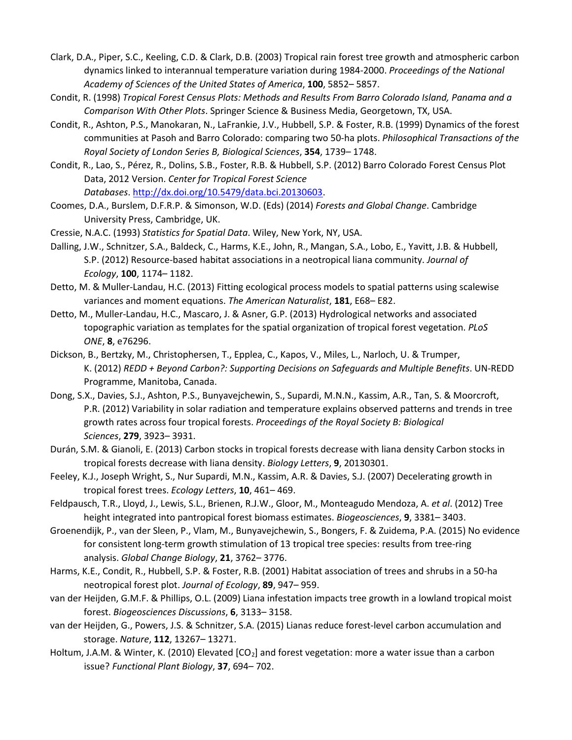- Clark, D.A., Piper, S.C., Keeling, C.D. & Clark, D.B. (2003) Tropical rain forest tree growth and atmospheric carbon dynamics linked to interannual temperature variation during 1984-2000. *Proceedings of the National Academy of Sciences of the United States of America*, **100**, 5852– 5857.
- Condit, R. (1998) *Tropical Forest Census Plots: Methods and Results From Barro Colorado Island, Panama and a Comparison With Other Plots*. Springer Science & Business Media, Georgetown, TX, USA.
- Condit, R., Ashton, P.S., Manokaran, N., LaFrankie, J.V., Hubbell, S.P. & Foster, R.B. (1999) Dynamics of the forest communities at Pasoh and Barro Colorado: comparing two 50-ha plots. *Philosophical Transactions of the Royal Society of London Series B, Biological Sciences*, **354**, 1739– 1748.
- Condit, R., Lao, S., Pérez, R., Dolins, S.B., Foster, R.B. & Hubbell, S.P. (2012) Barro Colorado Forest Census Plot Data, 2012 Version. *Center for Tropical Forest Science Databases*. <http://dx.doi.org/10.5479/data.bci.20130603>.
- Coomes, D.A., Burslem, D.F.R.P. & Simonson, W.D. (Eds) (2014) *Forests and Global Change*. Cambridge University Press, Cambridge, UK.
- Cressie, N.A.C. (1993) *Statistics for Spatial Data*. Wiley, New York, NY, USA.
- Dalling, J.W., Schnitzer, S.A., Baldeck, C., Harms, K.E., John, R., Mangan, S.A., Lobo, E., Yavitt, J.B. & Hubbell, S.P. (2012) Resource-based habitat associations in a neotropical liana community. *Journal of Ecology*, **100**, 1174– 1182.
- Detto, M. & Muller-Landau, H.C. (2013) Fitting ecological process models to spatial patterns using scalewise variances and moment equations. *The American Naturalist*, **181**, E68– E82.
- Detto, M., Muller-Landau, H.C., Mascaro, J. & Asner, G.P. (2013) Hydrological networks and associated topographic variation as templates for the spatial organization of tropical forest vegetation. *PLoS ONE*, **8**, e76296.
- Dickson, B., Bertzky, M., Christophersen, T., Epplea, C., Kapos, V., Miles, L., Narloch, U. & Trumper, K. (2012) *REDD + Beyond Carbon?: Supporting Decisions on Safeguards and Multiple Benefits*. UN-REDD Programme, Manitoba, Canada.
- Dong, S.X., Davies, S.J., Ashton, P.S., Bunyavejchewin, S., Supardi, M.N.N., Kassim, A.R., Tan, S. & Moorcroft, P.R. (2012) Variability in solar radiation and temperature explains observed patterns and trends in tree growth rates across four tropical forests. *Proceedings of the Royal Society B: Biological Sciences*, **279**, 3923– 3931.
- Durán, S.M. & Gianoli, E. (2013) Carbon stocks in tropical forests decrease with liana density Carbon stocks in tropical forests decrease with liana density. *Biology Letters*, **9**, 20130301.
- Feeley, K.J., Joseph Wright, S., Nur Supardi, M.N., Kassim, A.R. & Davies, S.J. (2007) Decelerating growth in tropical forest trees. *Ecology Letters*, **10**, 461– 469.
- Feldpausch, T.R., Lloyd, J., Lewis, S.L., Brienen, R.J.W., Gloor, M., Monteagudo Mendoza, A. *et al*. (2012) Tree height integrated into pantropical forest biomass estimates. *Biogeosciences*, **9**, 3381– 3403.
- Groenendijk, P., van der Sleen, P., Vlam, M., Bunyavejchewin, S., Bongers, F. & Zuidema, P.A. (2015) No evidence for consistent long-term growth stimulation of 13 tropical tree species: results from tree-ring analysis. *Global Change Biology*, **21**, 3762– 3776.
- Harms, K.E., Condit, R., Hubbell, S.P. & Foster, R.B. (2001) Habitat association of trees and shrubs in a 50-ha neotropical forest plot. *Journal of Ecology*, **89**, 947– 959.
- van der Heijden, G.M.F. & Phillips, O.L. (2009) Liana infestation impacts tree growth in a lowland tropical moist forest. *Biogeosciences Discussions*, **6**, 3133– 3158.
- van der Heijden, G., Powers, J.S. & Schnitzer, S.A. (2015) Lianas reduce forest-level carbon accumulation and storage. *Nature*, **112**, 13267– 13271.
- Holtum, J.A.M. & Winter, K. (2010) Elevated [CO<sub>2</sub>] and forest vegetation: more a water issue than a carbon issue? *Functional Plant Biology*, **37**, 694– 702.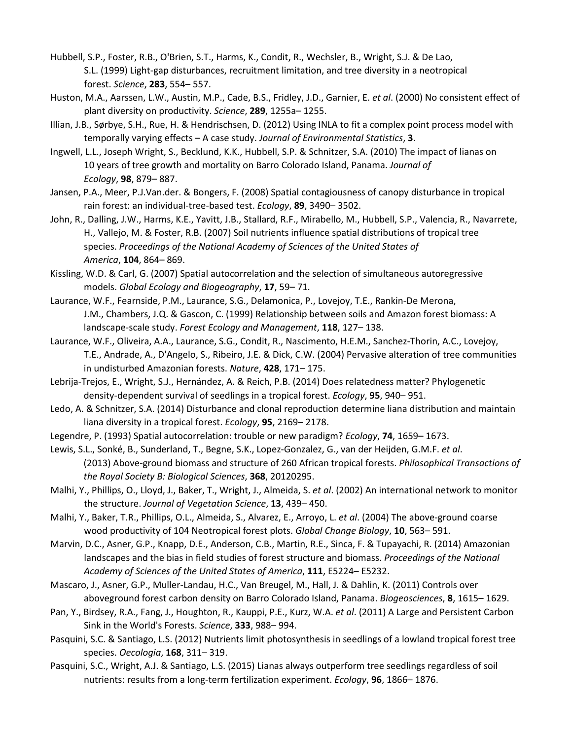- Hubbell, S.P., Foster, R.B., O'Brien, S.T., Harms, K., Condit, R., Wechsler, B., Wright, S.J. & De Lao, S.L. (1999) Light-gap disturbances, recruitment limitation, and tree diversity in a neotropical forest. *Science*, **283**, 554– 557.
- Huston, M.A., Aarssen, L.W., Austin, M.P., Cade, B.S., Fridley, J.D., Garnier, E. *et al*. (2000) No consistent effect of plant diversity on productivity. *Science*, **289**, 1255a– 1255.
- Illian, J.B., Sørbye, S.H., Rue, H. & Hendrischsen, D. (2012) Using INLA to fit a complex point process model with temporally varying effects – A case study. *Journal of Environmental Statistics*, **3**.
- Ingwell, L.L., Joseph Wright, S., Becklund, K.K., Hubbell, S.P. & Schnitzer, S.A. (2010) The impact of lianas on 10 years of tree growth and mortality on Barro Colorado Island, Panama. *Journal of Ecology*, **98**, 879– 887.
- Jansen, P.A., Meer, P.J.Van.der. & Bongers, F. (2008) Spatial contagiousness of canopy disturbance in tropical rain forest: an individual-tree-based test. *Ecology*, **89**, 3490– 3502.
- John, R., Dalling, J.W., Harms, K.E., Yavitt, J.B., Stallard, R.F., Mirabello, M., Hubbell, S.P., Valencia, R., Navarrete, H., Vallejo, M. & Foster, R.B. (2007) Soil nutrients influence spatial distributions of tropical tree species. *Proceedings of the National Academy of Sciences of the United States of America*, **104**, 864– 869.
- Kissling, W.D. & Carl, G. (2007) Spatial autocorrelation and the selection of simultaneous autoregressive models. *Global Ecology and Biogeography*, **17**, 59– 71.
- Laurance, W.F., Fearnside, P.M., Laurance, S.G., Delamonica, P., Lovejoy, T.E., Rankin-De Merona, J.M., Chambers, J.Q. & Gascon, C. (1999) Relationship between soils and Amazon forest biomass: A landscape-scale study. *Forest Ecology and Management*, **118**, 127– 138.
- Laurance, W.F., Oliveira, A.A., Laurance, S.G., Condit, R., Nascimento, H.E.M., Sanchez-Thorin, A.C., Lovejoy, T.E., Andrade, A., D'Angelo, S., Ribeiro, J.E. & Dick, C.W. (2004) Pervasive alteration of tree communities in undisturbed Amazonian forests. *Nature*, **428**, 171– 175.
- Lebrija-Trejos, E., Wright, S.J., Hernández, A. & Reich, P.B. (2014) Does relatedness matter? Phylogenetic density-dependent survival of seedlings in a tropical forest. *Ecology*, **95**, 940– 951.
- Ledo, A. & Schnitzer, S.A. (2014) Disturbance and clonal reproduction determine liana distribution and maintain liana diversity in a tropical forest. *Ecology*, **95**, 2169– 2178.
- Legendre, P. (1993) Spatial autocorrelation: trouble or new paradigm? *Ecology*, **74**, 1659– 1673.
- Lewis, S.L., Sonké, B., Sunderland, T., Begne, S.K., Lopez-Gonzalez, G., van der Heijden, G.M.F. *et al*. (2013) Above-ground biomass and structure of 260 African tropical forests. *Philosophical Transactions of the Royal Society B: Biological Sciences*, **368**, 20120295.
- Malhi, Y., Phillips, O., Lloyd, J., Baker, T., Wright, J., Almeida, S. *et al*. (2002) An international network to monitor the structure. *Journal of Vegetation Science*, **13**, 439– 450.
- Malhi, Y., Baker, T.R., Phillips, O.L., Almeida, S., Alvarez, E., Arroyo, L. *et al*. (2004) The above-ground coarse wood productivity of 104 Neotropical forest plots. *Global Change Biology*, **10**, 563– 591.
- Marvin, D.C., Asner, G.P., Knapp, D.E., Anderson, C.B., Martin, R.E., Sinca, F. & Tupayachi, R. (2014) Amazonian landscapes and the bias in field studies of forest structure and biomass. *Proceedings of the National Academy of Sciences of the United States of America*, **111**, E5224– E5232.
- Mascaro, J., Asner, G.P., Muller-Landau, H.C., Van Breugel, M., Hall, J. & Dahlin, K. (2011) Controls over aboveground forest carbon density on Barro Colorado Island, Panama. *Biogeosciences*, **8**, 1615– 1629.
- Pan, Y., Birdsey, R.A., Fang, J., Houghton, R., Kauppi, P.E., Kurz, W.A. *et al*. (2011) A Large and Persistent Carbon Sink in the World's Forests. *Science*, **333**, 988– 994.
- Pasquini, S.C. & Santiago, L.S. (2012) Nutrients limit photosynthesis in seedlings of a lowland tropical forest tree species. *Oecologia*, **168**, 311– 319.
- Pasquini, S.C., Wright, A.J. & Santiago, L.S. (2015) Lianas always outperform tree seedlings regardless of soil nutrients: results from a long-term fertilization experiment. *Ecology*, **96**, 1866– 1876.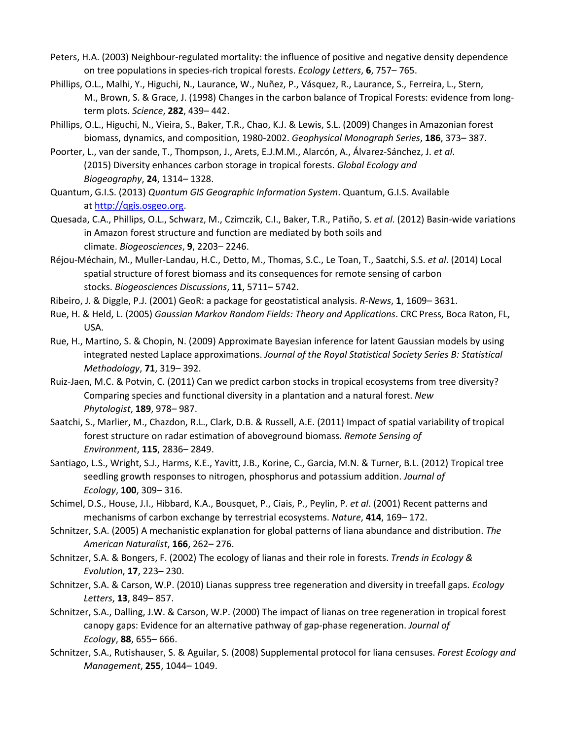- Peters, H.A. (2003) Neighbour-regulated mortality: the influence of positive and negative density dependence on tree populations in species-rich tropical forests. *Ecology Letters*, **6**, 757– 765.
- Phillips, O.L., Malhi, Y., Higuchi, N., Laurance, W., Nuñez, P., Vásquez, R., Laurance, S., Ferreira, L., Stern, M., Brown, S. & Grace, J. (1998) Changes in the carbon balance of Tropical Forests: evidence from longterm plots. *Science*, **282**, 439– 442.
- Phillips, O.L., Higuchi, N., Vieira, S., Baker, T.R., Chao, K.J. & Lewis, S.L. (2009) Changes in Amazonian forest biomass, dynamics, and composition, 1980-2002. *Geophysical Monograph Series*, **186**, 373– 387.
- Poorter, L., van der sande, T., Thompson, J., Arets, E.J.M.M., Alarcón, A., Álvarez-Sánchez, J. *et al*. (2015) Diversity enhances carbon storage in tropical forests. *Global Ecology and Biogeography*, **24**, 1314– 1328.
- Quantum, G.I.S. (2013) *Quantum GIS Geographic Information System*. Quantum, G.I.S. Available at [http://qgis.osgeo.org.](http://qgis.osgeo.org/)
- Quesada, C.A., Phillips, O.L., Schwarz, M., Czimczik, C.I., Baker, T.R., Patiño, S. *et al*. (2012) Basin-wide variations in Amazon forest structure and function are mediated by both soils and climate. *Biogeosciences*, **9**, 2203– 2246.
- Réjou-Méchain, M., Muller-Landau, H.C., Detto, M., Thomas, S.C., Le Toan, T., Saatchi, S.S. *et al*. (2014) Local spatial structure of forest biomass and its consequences for remote sensing of carbon stocks. *Biogeosciences Discussions*, **11**, 5711– 5742.
- Ribeiro, J. & Diggle, P.J. (2001) GeoR: a package for geostatistical analysis. *R‐News*, **1**, 1609– 3631.
- Rue, H. & Held, L. (2005) *Gaussian Markov Random Fields: Theory and Applications*. CRC Press, Boca Raton, FL, USA.
- Rue, H., Martino, S. & Chopin, N. (2009) Approximate Bayesian inference for latent Gaussian models by using integrated nested Laplace approximations. *Journal of the Royal Statistical Society Series B: Statistical Methodology*, **71**, 319– 392.
- Ruiz-Jaen, M.C. & Potvin, C. (2011) Can we predict carbon stocks in tropical ecosystems from tree diversity? Comparing species and functional diversity in a plantation and a natural forest. *New Phytologist*, **189**, 978– 987.
- Saatchi, S., Marlier, M., Chazdon, R.L., Clark, D.B. & Russell, A.E. (2011) Impact of spatial variability of tropical forest structure on radar estimation of aboveground biomass. *Remote Sensing of Environment*, **115**, 2836– 2849.
- Santiago, L.S., Wright, S.J., Harms, K.E., Yavitt, J.B., Korine, C., Garcia, M.N. & Turner, B.L. (2012) Tropical tree seedling growth responses to nitrogen, phosphorus and potassium addition. *Journal of Ecology*, **100**, 309– 316.
- Schimel, D.S., House, J.I., Hibbard, K.A., Bousquet, P., Ciais, P., Peylin, P. *et al*. (2001) Recent patterns and mechanisms of carbon exchange by terrestrial ecosystems. *Nature*, **414**, 169– 172.
- Schnitzer, S.A. (2005) A mechanistic explanation for global patterns of liana abundance and distribution. *The American Naturalist*, **166**, 262– 276.
- Schnitzer, S.A. & Bongers, F. (2002) The ecology of lianas and their role in forests. *Trends in Ecology & Evolution*, **17**, 223– 230.
- Schnitzer, S.A. & Carson, W.P. (2010) Lianas suppress tree regeneration and diversity in treefall gaps. *Ecology Letters*, **13**, 849– 857.
- Schnitzer, S.A., Dalling, J.W. & Carson, W.P. (2000) The impact of lianas on tree regeneration in tropical forest canopy gaps: Evidence for an alternative pathway of gap-phase regeneration. *Journal of Ecology*, **88**, 655– 666.
- Schnitzer, S.A., Rutishauser, S. & Aguilar, S. (2008) Supplemental protocol for liana censuses. *Forest Ecology and Management*, **255**, 1044– 1049.